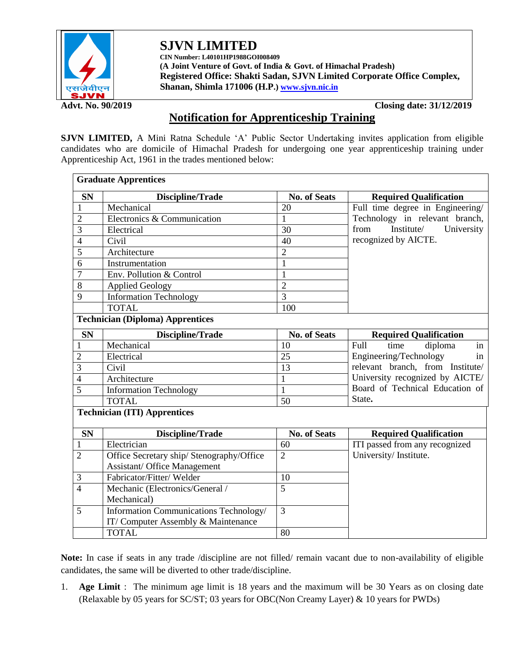

# **SJVN LIMITED**

**CIN Number: L40101HP1988GOI008409 (A Joint Venture of Govt. of India & Govt. of Himachal Pradesh) Registered Office: Shakti Sadan, SJVN Limited Corporate Office Complex, Shanan, Shimla 171006 (H.P.[\) www.sjvn.nic.in](http://www.sjvn.nic.in/)**

**Advt. No. 90/2019 Closing date: 31/12/2019**

# **Notification for Apprenticeship Training**

**SJVN LIMITED,** A Mini Ratna Schedule 'A' Public Sector Undertaking invites application from eligible candidates who are domicile of Himachal Pradesh for undergoing one year apprenticeship training under Apprenticeship Act, 1961 in the trades mentioned below:

| <b>Graduate Apprentices</b>             |                                           |                     |                                  |  |  |  |  |
|-----------------------------------------|-------------------------------------------|---------------------|----------------------------------|--|--|--|--|
| <b>SN</b>                               | Discipline/Trade                          | <b>No. of Seats</b> | <b>Required Qualification</b>    |  |  |  |  |
| 1                                       | Mechanical                                | 20                  | Full time degree in Engineering/ |  |  |  |  |
| $\overline{2}$                          | Electronics & Communication               | $\mathbf{1}$        | Technology in relevant branch,   |  |  |  |  |
| 3                                       | Electrical                                | 30                  | Institute/<br>from<br>University |  |  |  |  |
| $\overline{4}$                          | Civil                                     | 40                  | recognized by AICTE.             |  |  |  |  |
| 5                                       | Architecture                              | $\overline{2}$      |                                  |  |  |  |  |
| 6                                       | Instrumentation                           | $\mathbf{1}$        |                                  |  |  |  |  |
| 7                                       | Env. Pollution & Control                  | $\mathbf{1}$        |                                  |  |  |  |  |
| 8                                       | <b>Applied Geology</b>                    | $\overline{2}$      |                                  |  |  |  |  |
| 9                                       | <b>Information Technology</b>             | $\overline{3}$      |                                  |  |  |  |  |
|                                         | <b>TOTAL</b>                              | 100                 |                                  |  |  |  |  |
| <b>Technician (Diploma) Apprentices</b> |                                           |                     |                                  |  |  |  |  |
| <b>SN</b>                               | Discipline/Trade                          | <b>No. of Seats</b> | <b>Required Qualification</b>    |  |  |  |  |
|                                         | Mechanical                                | 10                  | diploma<br>Full<br>time<br>in    |  |  |  |  |
| $\overline{2}$                          | Electrical                                | 25                  | Engineering/Technology<br>in     |  |  |  |  |
| 3                                       | Civil                                     | 13                  | relevant branch, from Institute/ |  |  |  |  |
| 4                                       | Architecture                              | $\mathbf{1}$        | University recognized by AICTE/  |  |  |  |  |
| 5                                       | <b>Information Technology</b>             | $\mathbf{1}$        | Board of Technical Education of  |  |  |  |  |
|                                         | <b>TOTAL</b>                              | 50                  | State.                           |  |  |  |  |
| <b>Technician (ITI) Apprentices</b>     |                                           |                     |                                  |  |  |  |  |
| <b>SN</b>                               | Discipline/Trade                          | <b>No. of Seats</b> | <b>Required Qualification</b>    |  |  |  |  |
| $\mathbf{1}$                            | Electrician                               | 60                  | ITI passed from any recognized   |  |  |  |  |
| $\overline{2}$                          | Office Secretary ship/ Stenography/Office | $\overline{2}$      | University/Institute.            |  |  |  |  |
|                                         | <b>Assistant/ Office Management</b>       |                     |                                  |  |  |  |  |
| 3                                       | Fabricator/Fitter/Welder                  | 10                  |                                  |  |  |  |  |
| $\overline{4}$                          | Mechanic (Electronics/General /           | $\overline{5}$      |                                  |  |  |  |  |
|                                         | Mechanical)                               |                     |                                  |  |  |  |  |
| 5                                       | Information Communications Technology/    | $\overline{3}$      |                                  |  |  |  |  |
|                                         | IT/Computer Assembly & Maintenance        |                     |                                  |  |  |  |  |
|                                         | <b>TOTAL</b>                              | 80                  |                                  |  |  |  |  |

**Note:** In case if seats in any trade /discipline are not filled/ remain vacant due to non-availability of eligible candidates, the same will be diverted to other trade/discipline.

1. **Age Limit** : The minimum age limit is 18 years and the maximum will be 30 Years as on closing date (Relaxable by 05 years for SC/ST; 03 years for OBC(Non Creamy Layer) & 10 years for PWDs)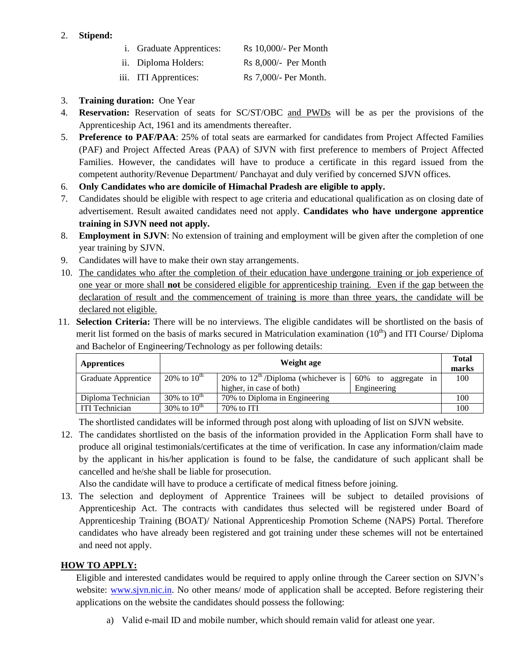## 2. **Stipend:**

|  | <i>i.</i> Graduate Apprentices: | Rs 10,000/- Per Month |
|--|---------------------------------|-----------------------|
|--|---------------------------------|-----------------------|

- ii. Diploma Holders: Rs 8,000/- Per Month
- iii. ITI Apprentices: Rs 7,000/- Per Month.
- 3. **Training duration:** One Year
- 4. **Reservation:** Reservation of seats for SC/ST/OBC and PWDs will be as per the provisions of the Apprenticeship Act, 1961 and its amendments thereafter.
- 5. **Preference to PAF/PAA**: 25% of total seats are earmarked for candidates from Project Affected Families (PAF) and Project Affected Areas (PAA) of SJVN with first preference to members of Project Affected Families. However, the candidates will have to produce a certificate in this regard issued from the competent authority/Revenue Department/ Panchayat and duly verified by concerned SJVN offices.
- 6. **Only Candidates who are domicile of Himachal Pradesh are eligible to apply.**
- 7. Candidates should be eligible with respect to age criteria and educational qualification as on closing date of advertisement. Result awaited candidates need not apply. **Candidates who have undergone apprentice training in SJVN need not apply.**
- 8. **Employment in SJVN**: No extension of training and employment will be given after the completion of one year training by SJVN.
- 9. Candidates will have to make their own stay arrangements.
- 10. The candidates who after the completion of their education have undergone training or job experience of one year or more shall **not** be considered eligible for apprenticeship training. Even if the gap between the declaration of result and the commencement of training is more than three years, the candidate will be declared not eligible.
- 11. **Selection Criteria:** There will be no interviews. The eligible candidates will be shortlisted on the basis of merit list formed on the basis of marks secured in Matriculation examination  $(10<sup>th</sup>)$  and ITI Course/ Diploma and Bachelor of Engineering/Technology as per following details:

| <b>Apprentices</b>                                                      | Weight age       |                                                                            |                                       |     |
|-------------------------------------------------------------------------|------------------|----------------------------------------------------------------------------|---------------------------------------|-----|
| Graduate Apprentice                                                     | 20% to $10^{th}$ | 20% to $12^{\text{th}}$ /Diploma (whichever is<br>higher, in case of both) | 60%<br>to aggregate in<br>Engineering | 100 |
| 30% to $10^{th}$<br>70% to Diploma in Engineering<br>Diploma Technician |                  | 100                                                                        |                                       |     |
| 30% to $10^{th}$<br><b>ITI</b> Technician                               |                  | $70\%$ to ITI                                                              |                                       | 100 |

The shortlisted candidates will be informed through post along with uploading of list on SJVN website.

12. The candidates shortlisted on the basis of the information provided in the Application Form shall have to produce all original testimonials/certificates at the time of verification. In case any information/claim made by the applicant in his/her application is found to be false, the candidature of such applicant shall be cancelled and he/she shall be liable for prosecution.

Also the candidate will have to produce a certificate of medical fitness before joining.

13. The selection and deployment of Apprentice Trainees will be subject to detailed provisions of Apprenticeship Act. The contracts with candidates thus selected will be registered under Board of Apprenticeship Training (BOAT)/ National Apprenticeship Promotion Scheme (NAPS) Portal. Therefore candidates who have already been registered and got training under these schemes will not be entertained and need not apply.

# **HOW TO APPLY:**

Eligible and interested candidates would be required to apply online through the Career section on SJVN's website: www.sjyn.nic.in. No other means/ mode of application shall be accepted. Before registering their applications on the website the candidates should possess the following:

a) Valid e-mail ID and mobile number, which should remain valid for atleast one year.